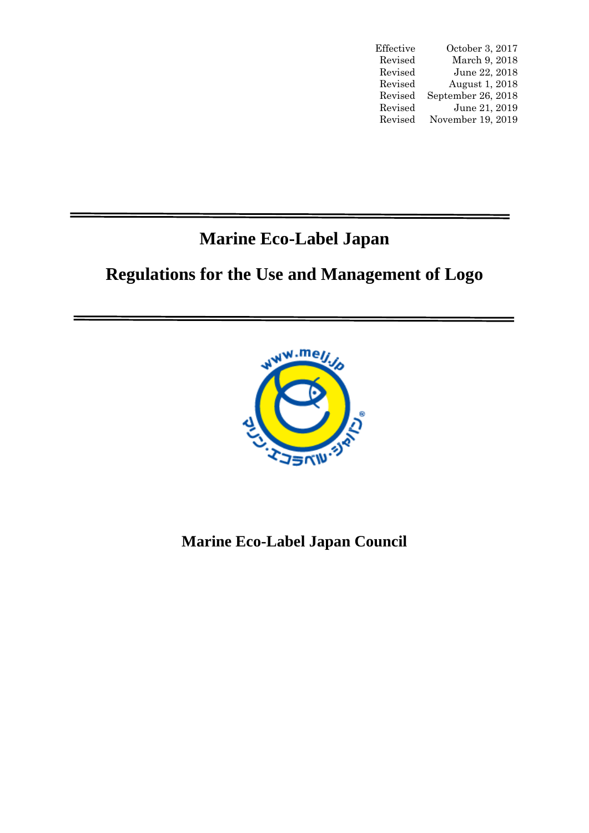| Effective | October 3, 2017    |
|-----------|--------------------|
| Revised   | March 9, 2018      |
| Revised   | June 22, 2018      |
| Revised   | August 1, 2018     |
| Revised   | September 26, 2018 |
| Revised   | June 21, 2019      |
| Revised   | November 19, 2019  |

# **Marine Eco-Label Japan**

# **Regulations for the Use and Management of Logo**



# **Marine Eco-Label Japan Council**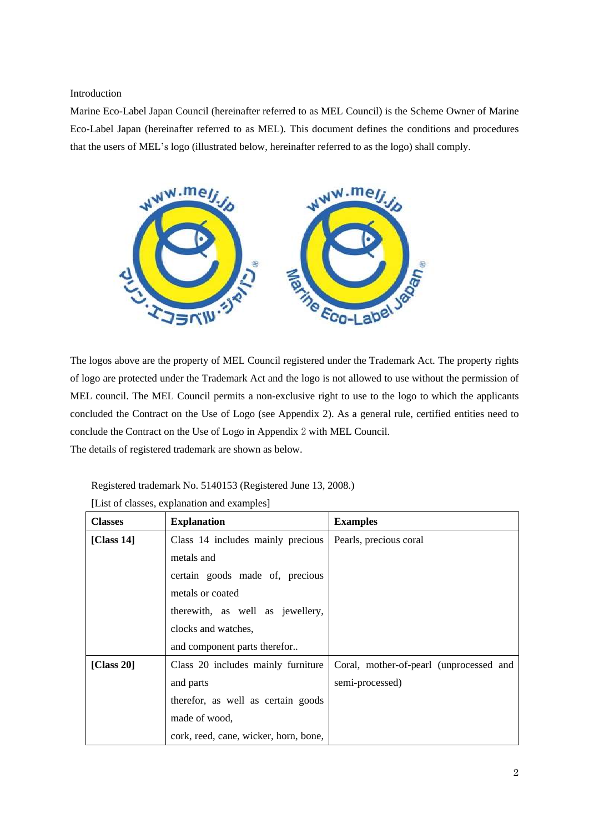Introduction

Marine Eco-Label Japan Council (hereinafter referred to as MEL Council) is the Scheme Owner of Marine Eco-Label Japan (hereinafter referred to as MEL). This document defines the conditions and procedures that the users of MEL's logo (illustrated below, hereinafter referred to as the logo) shall comply.



The logos above are the property of MEL Council registered under the Trademark Act. The property rights of logo are protected under the Trademark Act and the logo is not allowed to use without the permission of MEL council. The MEL Council permits a non-exclusive right to use to the logo to which the applicants concluded the Contract on the Use of Logo (see Appendix 2). As a general rule, certified entities need to conclude the Contract on the Use of Logo in Appendix 2 with MEL Council. The details of registered trademark are shown as below.

Registered trademark No. 5140153 (Registered June 13, 2008.)

| <b>Classes</b> | <b>Explanation</b>                    | <b>Examples</b>                         |
|----------------|---------------------------------------|-----------------------------------------|
| [Class $14$ ]  | Class 14 includes mainly precious     | Pearls, precious coral                  |
|                | metals and                            |                                         |
|                | certain goods made of, precious       |                                         |
|                | metals or coated                      |                                         |
|                | therewith, as well as jewellery,      |                                         |
|                | clocks and watches,                   |                                         |
|                | and component parts therefor          |                                         |
| [Class $20$ ]  | Class 20 includes mainly furniture    | Coral, mother-of-pearl (unprocessed and |
|                | and parts                             | semi-processed)                         |
|                | therefor, as well as certain goods    |                                         |
|                | made of wood,                         |                                         |
|                | cork, reed, cane, wicker, horn, bone, |                                         |

[List of classes, explanation and examples]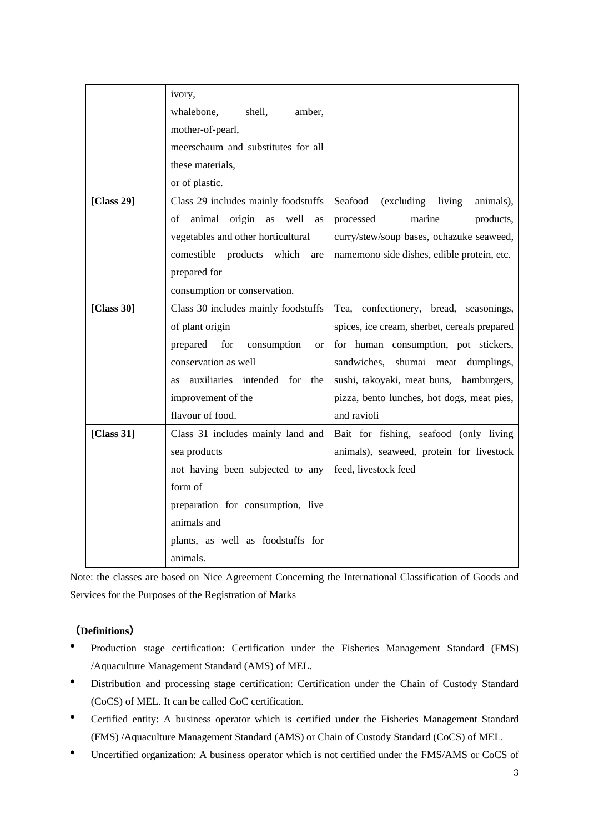|            | ivory,                                       |                                              |
|------------|----------------------------------------------|----------------------------------------------|
|            | whalebone,<br>shell,<br>amber,               |                                              |
|            | mother-of-pearl,                             |                                              |
|            | meerschaum and substitutes for all           |                                              |
|            | these materials,                             |                                              |
|            | or of plastic.                               |                                              |
| [Class 29] | Class 29 includes mainly foodstuffs          | Seafood<br>(excluding living<br>animals),    |
|            | animal origin<br>well<br>as<br>of<br>as      | marine<br>processed<br>products,             |
|            | vegetables and other horticultural           | curry/stew/soup bases, ochazuke seaweed,     |
|            | comestible<br>products which<br>are          | namemono side dishes, edible protein, etc.   |
|            | prepared for                                 |                                              |
|            | consumption or conservation.                 |                                              |
| [Class 30] | Class 30 includes mainly foodstuffs          | Tea, confectionery, bread, seasonings,       |
|            | of plant origin                              | spices, ice cream, sherbet, cereals prepared |
|            | prepared for<br>consumption<br><sub>or</sub> | for human consumption, pot stickers,         |
|            | conservation as well                         | shumai meat dumplings,<br>sandwiches,        |
|            | auxiliaries intended for the<br><b>as</b>    | sushi, takoyaki, meat buns, hamburgers,      |
|            | improvement of the                           | pizza, bento lunches, hot dogs, meat pies,   |
|            | flavour of food.                             | and ravioli                                  |
| [Class 31] | Class 31 includes mainly land and            | Bait for fishing, seafood (only living       |
|            | sea products                                 | animals), seaweed, protein for livestock     |
|            | not having been subjected to any             | feed, livestock feed                         |
|            | form of                                      |                                              |
|            | preparation for consumption, live            |                                              |
|            | animals and                                  |                                              |
|            | plants, as well as foodstuffs for            |                                              |
|            | animals.                                     |                                              |

Note: the classes are based on Nice Agreement Concerning the International Classification of Goods and Services for the Purposes of the Registration of Marks

## **(Definitions)**

- ⚫ Production stage certification: Certification under the Fisheries Management Standard (FMS) /Aquaculture Management Standard (AMS) of MEL.
- ⚫ Distribution and processing stage certification: Certification under the Chain of Custody Standard (CoCS) of MEL. It can be called CoC certification.
- ⚫ Certified entity: A business operator which is certified under the Fisheries Management Standard (FMS) /Aquaculture Management Standard (AMS) or Chain of Custody Standard (CoCS) of MEL.
- ⚫ Uncertified organization: A business operator which is not certified under the FMS/AMS or CoCS of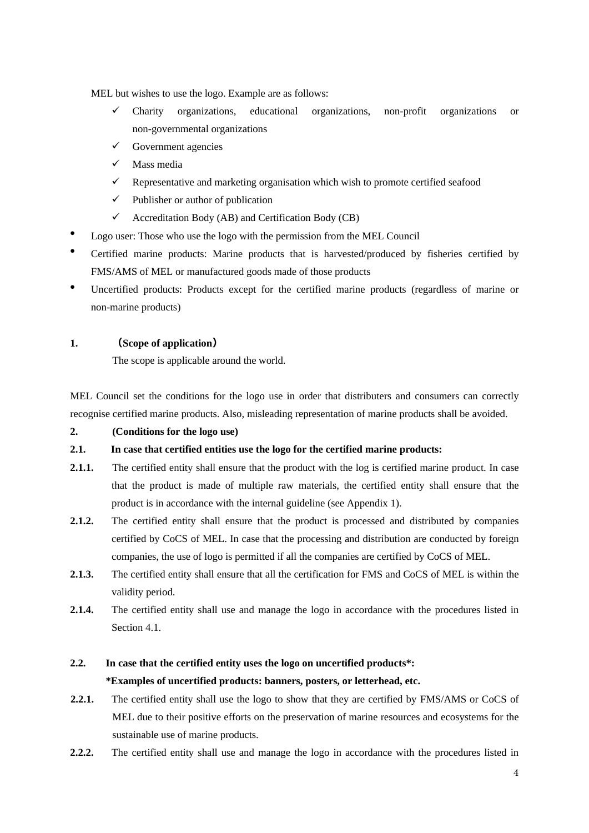MEL but wishes to use the logo. Example are as follows:

- ✓ Charity organizations, educational organizations, non-profit organizations or non-governmental organizations
- $\checkmark$  Government agencies
- ✓ Mass media
- $\checkmark$  Representative and marketing organisation which wish to promote certified seafood
- $\checkmark$  Publisher or author of publication
- $\checkmark$  Accreditation Body (AB) and Certification Body (CB)
- ⚫ Logo user: Those who use the logo with the permission from the MEL Council
- ⚫ Certified marine products: Marine products that is harvested/produced by fisheries certified by FMS/AMS of MEL or manufactured goods made of those products
- ⚫ Uncertified products: Products except for the certified marine products (regardless of marine or non-marine products)

## **1. (Scope of application)**

The scope is applicable around the world.

MEL Council set the conditions for the logo use in order that distributers and consumers can correctly recognise certified marine products. Also, misleading representation of marine products shall be avoided.

## **2. (Conditions for the logo use)**

## **2.1. In case that certified entities use the logo for the certified marine products:**

- **2.1.1.** The certified entity shall ensure that the product with the log is certified marine product. In case that the product is made of multiple raw materials, the certified entity shall ensure that the product is in accordance with the internal guideline (see Appendix 1).
- **2.1.2.** The certified entity shall ensure that the product is processed and distributed by companies certified by CoCS of MEL. In case that the processing and distribution are conducted by foreign companies, the use of logo is permitted if all the companies are certified by CoCS of MEL.
- **2.1.3.** The certified entity shall ensure that all the certification for FMS and CoCS of MEL is within the validity period.
- 2.1.4. The certified entity shall use and manage the logo in accordance with the procedures listed in Section 4.1.

# **2.2. In case that the certified entity uses the logo on uncertified products\*:**

## **\*Examples of uncertified products: banners, posters, or letterhead, etc.**

- **2.2.1.** The certified entity shall use the logo to show that they are certified by FMS/AMS or CoCS of MEL due to their positive efforts on the preservation of marine resources and ecosystems for the sustainable use of marine products.
- **2.2.2.** The certified entity shall use and manage the logo in accordance with the procedures listed in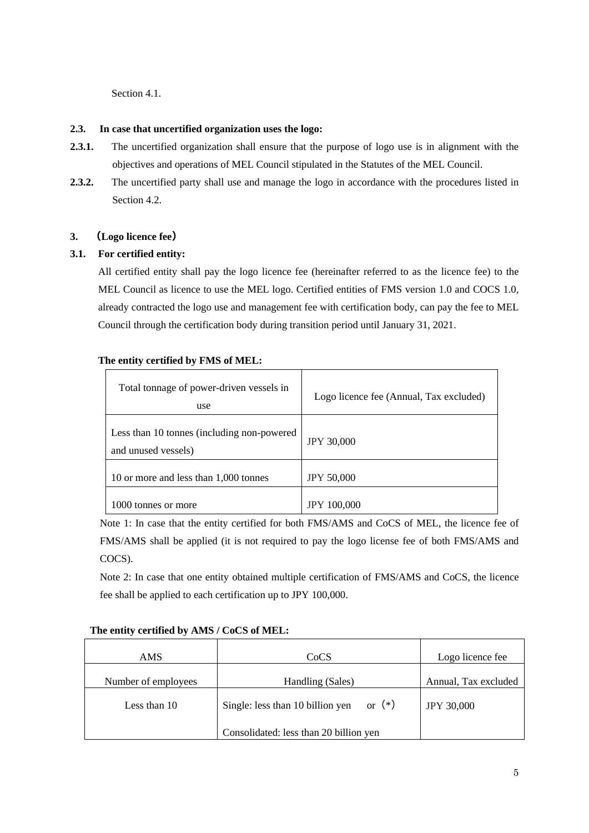Section 4.1.

#### **2.3. In case that uncertified organization uses the logo:**

- **2.3.1.** The uncertified organization shall ensure that the purpose of logo use is in alignment with the objectives and operations of MEL Council stipulated in the Statutes of the MEL Council.
- 2.3.2. The uncertified party shall use and manage the logo in accordance with the procedures listed in Section 4.2.

## **3. (Logo licence fee)**

## **3.1. For certified entity:**

All certified entity shall pay the logo licence fee (hereinafter referred to as the licence fee) to the MEL Council as licence to use the MEL logo. Certified entities of FMS version 1.0 and COCS 1.0, already contracted the logo use and management fee with certification body, can pay the fee to MEL Council through the certification body during transition period until January 31, 2021.

#### **The entity certified by FMS of MEL:**

| Total tonnage of power-driven vessels in<br>use                    | Logo licence fee (Annual, Tax excluded) |
|--------------------------------------------------------------------|-----------------------------------------|
| Less than 10 tonnes (including non-powered)<br>and unused vessels) | <b>JPY 30,000</b>                       |
| 10 or more and less than 1,000 tonnes                              | <b>JPY 50,000</b>                       |
| tonnes or more                                                     | <b>JPY 100,000</b>                      |

Note 1: In case that the entity certified for both FMS/AMS and CoCS of MEL, the licence fee of FMS/AMS shall be applied (it is not required to pay the logo license fee of both FMS/AMS and COCS).

Note 2: In case that one entity obtained multiple certification of FMS/AMS and CoCS, the licence fee shall be applied to each certification up to JPY 100,000.

| AMS.                | CoCS                                      | Logo licence fee     |
|---------------------|-------------------------------------------|----------------------|
| Number of employees | Handling (Sales)                          | Annual, Tax excluded |
| Less than 10        | Single: less than 10 billion yen or $(*)$ | <b>JPY 30,000</b>    |
|                     | Consolidated: less than 20 billion yen    |                      |

## **The entity certified by AMS / CoCS of MEL:**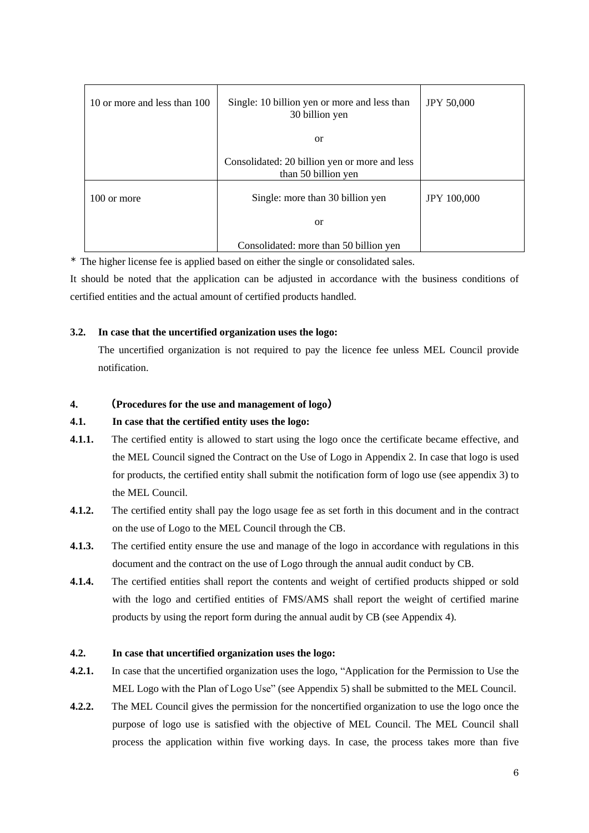| 10 or more and less than 100 | Single: 10 billion yen or more and less than<br>30 billion yen       | <b>JPY 50,000</b>  |
|------------------------------|----------------------------------------------------------------------|--------------------|
|                              | <sub>or</sub>                                                        |                    |
|                              | Consolidated: 20 billion yen or more and less<br>than 50 billion yen |                    |
| 100 or more                  | Single: more than 30 billion yen                                     | <b>JPY 100,000</b> |
|                              | <sub>or</sub>                                                        |                    |
|                              | Consolidated: more than 50 billion yen                               |                    |

\* The higher license fee is applied based on either the single or consolidated sales.

It should be noted that the application can be adjusted in accordance with the business conditions of certified entities and the actual amount of certified products handled.

#### **3.2. In case that the uncertified organization uses the logo:**

The uncertified organization is not required to pay the licence fee unless MEL Council provide notification.

#### **4. (Procedures for the use and management of logo)**

#### **4.1. In case that the certified entity uses the logo:**

- **4.1.1.** The certified entity is allowed to start using the logo once the certificate became effective, and the MEL Council signed the Contract on the Use of Logo in Appendix 2. In case that logo is used for products, the certified entity shall submit the notification form of logo use (see appendix 3) to the MEL Council.
- **4.1.2.** The certified entity shall pay the logo usage fee as set forth in this document and in the contract on the use of Logo to the MEL Council through the CB.
- **4.1.3.** The certified entity ensure the use and manage of the logo in accordance with regulations in this document and the contract on the use of Logo through the annual audit conduct by CB.
- **4.1.4.** The certified entities shall report the contents and weight of certified products shipped or sold with the logo and certified entities of FMS/AMS shall report the weight of certified marine products by using the report form during the annual audit by CB (see Appendix 4).

#### **4.2. In case that uncertified organization uses the logo:**

- **4.2.1.** In case that the uncertified organization uses the logo, "Application for the Permission to Use the MEL Logo with the Plan of Logo Use" (see Appendix 5) shall be submitted to the MEL Council.
- **4.2.2.** The MEL Council gives the permission for the noncertified organization to use the logo once the purpose of logo use is satisfied with the objective of MEL Council. The MEL Council shall process the application within five working days. In case, the process takes more than five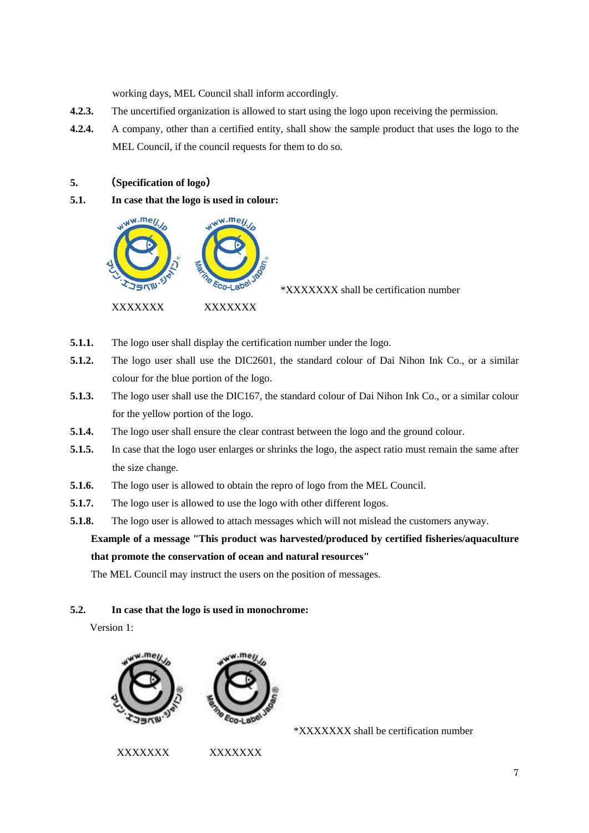working days, MEL Council shall inform accordingly.

- **4.2.3.** The uncertified organization is allowed to start using the logo upon receiving the permission.
- **4.2.4.** A company, other than a certified entity, shall show the sample product that uses the logo to the MEL Council, if the council requests for them to do so.

### **5. (Specification of logo)**

**5.1. In case that the logo is used in colour:**



\*XXXXXXX shall be certification number

- **5.1.1.** The logo user shall display the certification number under the logo.
- **5.1.2.** The logo user shall use the DIC2601, the standard colour of Dai Nihon Ink Co., or a similar colour for the blue portion of the logo.
- **5.1.3.** The logo user shall use the DIC167, the standard colour of Dai Nihon Ink Co., or a similar colour for the yellow portion of the logo.
- **5.1.4.** The logo user shall ensure the clear contrast between the logo and the ground colour.
- **5.1.5.** In case that the logo user enlarges or shrinks the logo, the aspect ratio must remain the same after the size change.
- **5.1.6.** The logo user is allowed to obtain the repro of logo from the MEL Council.
- **5.1.7.** The logo user is allowed to use the logo with other different logos.
- **5.1.8.** The logo user is allowed to attach messages which will not mislead the customers anyway.

**Example of a message "This product was harvested/produced by certified fisheries/aquaculture that promote the conservation of ocean and natural resources"**

The MEL Council may instruct the users on the position of messages.

#### **5.2. In case that the logo is used in monochrome:**

Version 1:



XXXXXXX XXXXXXX

\*XXXXXXX shall be certification number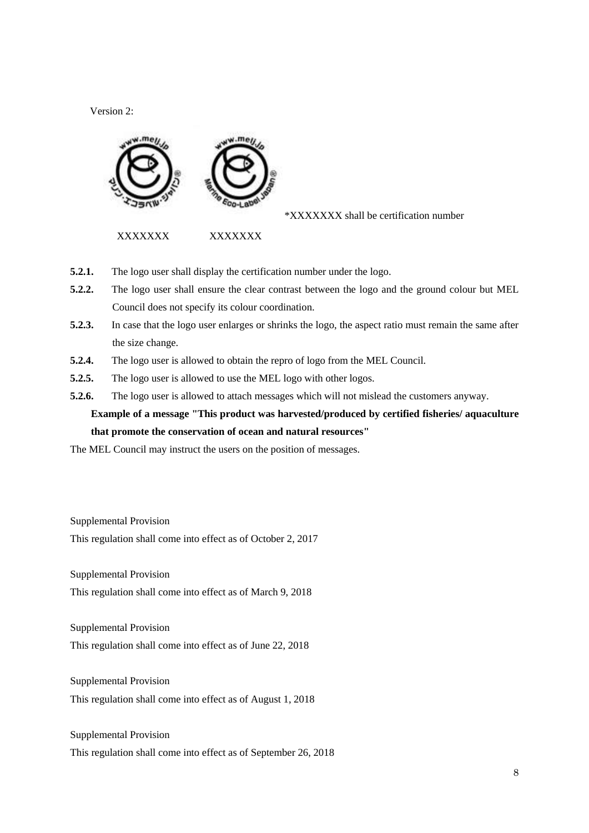Version 2:



\*XXXXXXX shall be certification number

XXXXXXX XXXXXXX

- **5.2.1.** The logo user shall display the certification number under the logo.
- **5.2.2.** The logo user shall ensure the clear contrast between the logo and the ground colour but MEL Council does not specify its colour coordination.
- **5.2.3.** In case that the logo user enlarges or shrinks the logo, the aspect ratio must remain the same after the size change.
- **5.2.4.** The logo user is allowed to obtain the repro of logo from the MEL Council.
- **5.2.5.** The logo user is allowed to use the MEL logo with other logos.
- **5.2.6.** The logo user is allowed to attach messages which will not mislead the customers anyway.

**Example of a message "This product was harvested/produced by certified fisheries/ aquaculture that promote the conservation of ocean and natural resources"**

The MEL Council may instruct the users on the position of messages.

Supplemental Provision

This regulation shall come into effect as of October 2, 2017

Supplemental Provision

This regulation shall come into effect as of March 9, 2018

Supplemental Provision This regulation shall come into effect as of June 22, 2018

Supplemental Provision

This regulation shall come into effect as of August 1, 2018

Supplemental Provision

This regulation shall come into effect as of September 26, 2018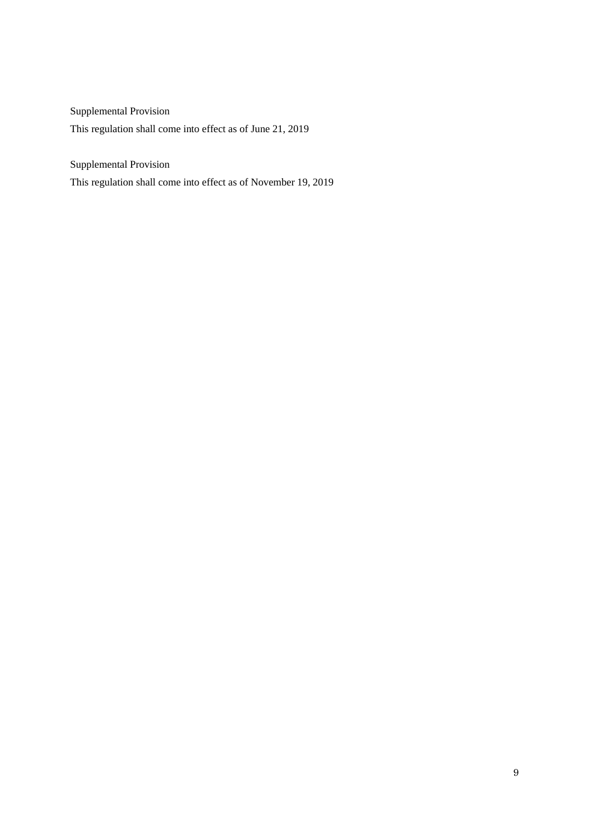Supplemental Provision This regulation shall come into effect as of June 21, 2019

Supplemental Provision

This regulation shall come into effect as of November 19, 2019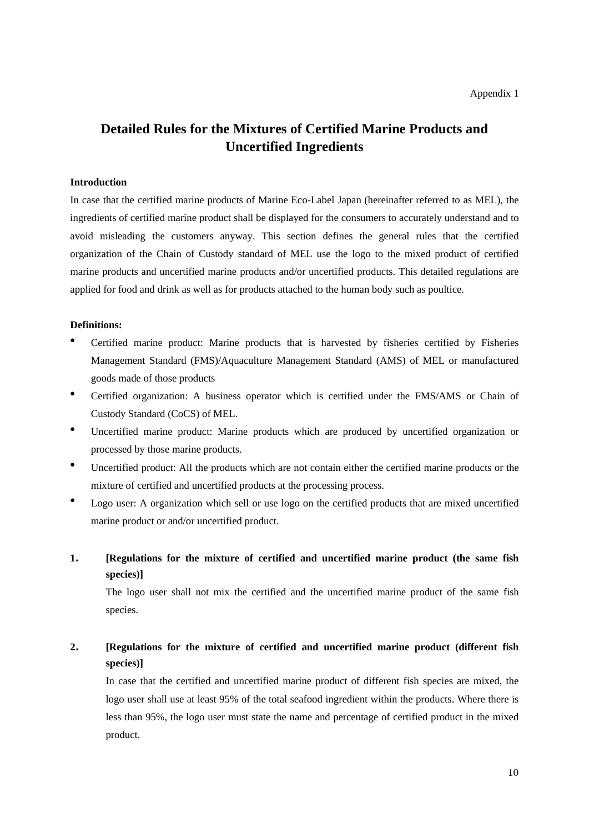# **Detailed Rules for the Mixtures of Certified Marine Products and Uncertified Ingredients**

#### **Introduction**

In case that the certified marine products of Marine Eco-Label Japan (hereinafter referred to as MEL), the ingredients of certified marine product shall be displayed for the consumers to accurately understand and to avoid misleading the customers anyway. This section defines the general rules that the certified organization of the Chain of Custody standard of MEL use the logo to the mixed product of certified marine products and uncertified marine products and/or uncertified products. This detailed regulations are applied for food and drink as well as for products attached to the human body such as poultice.

#### **Definitions:**

- ⚫ Certified marine product: Marine products that is harvested by fisheries certified by Fisheries Management Standard (FMS)/Aquaculture Management Standard (AMS) of MEL or manufactured goods made of those products
- ⚫ Certified organization: A business operator which is certified under the FMS/AMS or Chain of Custody Standard (CoCS) of MEL.
- ⚫ Uncertified marine product: Marine products which are produced by uncertified organization or processed by those marine products.
- ⚫ Uncertified product: All the products which are not contain either the certified marine products or the mixture of certified and uncertified products at the processing process.
- ⚫ Logo user: A organization which sell or use logo on the certified products that are mixed uncertified marine product or and/or uncertified product.
- **1. [Regulations for the mixture of certified and uncertified marine product (the same fish species)]**

The logo user shall not mix the certified and the uncertified marine product of the same fish species.

# **2. [Regulations for the mixture of certified and uncertified marine product (different fish species)]**

In case that the certified and uncertified marine product of different fish species are mixed, the logo user shall use at least 95% of the total seafood ingredient within the products. Where there is less than 95%, the logo user must state the name and percentage of certified product in the mixed product.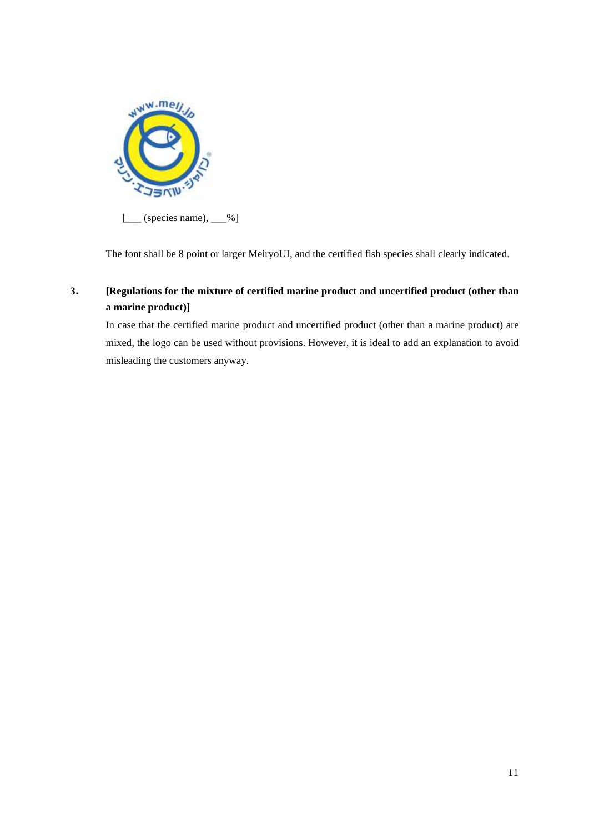

The font shall be 8 point or larger MeiryoUI, and the certified fish species shall clearly indicated.

# **3. [Regulations for the mixture of certified marine product and uncertified product (other than a marine product)]**

In case that the certified marine product and uncertified product (other than a marine product) are mixed, the logo can be used without provisions. However, it is ideal to add an explanation to avoid misleading the customers anyway.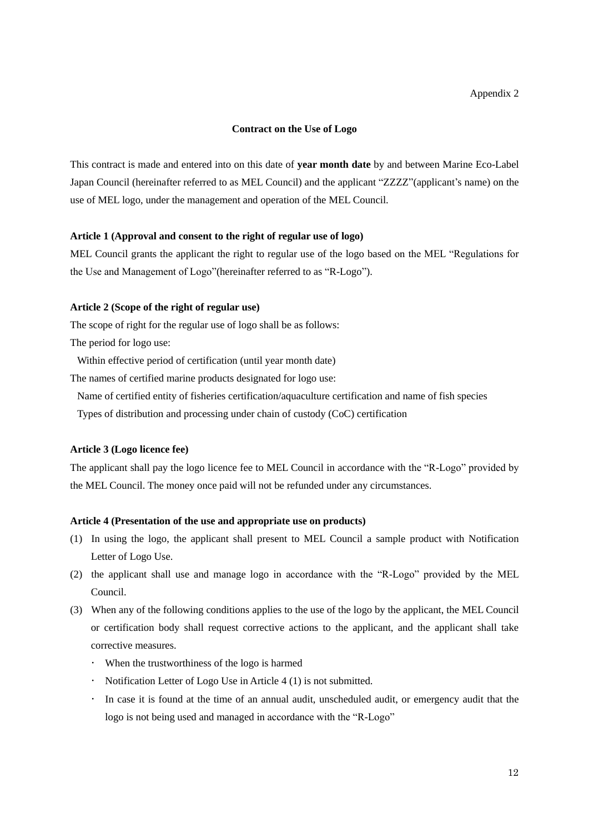#### **Contract on the Use of Logo**

This contract is made and entered into on this date of **year month date** by and between Marine Eco-Label Japan Council (hereinafter referred to as MEL Council) and the applicant "ZZZZ"(applicant's name) on the use of MEL logo, under the management and operation of the MEL Council.

#### **Article 1 (Approval and consent to the right of regular use of logo)**

MEL Council grants the applicant the right to regular use of the logo based on the MEL "Regulations for the Use and Management of Logo"(hereinafter referred to as "R-Logo").

#### **Article 2 (Scope of the right of regular use)**

The scope of right for the regular use of logo shall be as follows:

The period for logo use:

Within effective period of certification (until year month date)

The names of certified marine products designated for logo use:

Name of certified entity of fisheries certification/aquaculture certification and name of fish species

Types of distribution and processing under chain of custody (CoC) certification

#### **Article 3 (Logo licence fee)**

The applicant shall pay the logo licence fee to MEL Council in accordance with the "R-Logo" provided by the MEL Council. The money once paid will not be refunded under any circumstances.

#### **Article 4 (Presentation of the use and appropriate use on products)**

- (1) In using the logo, the applicant shall present to MEL Council a sample product with Notification Letter of Logo Use.
- (2) the applicant shall use and manage logo in accordance with the "R-Logo" provided by the MEL Council.
- (3) When any of the following conditions applies to the use of the logo by the applicant, the MEL Council or certification body shall request corrective actions to the applicant, and the applicant shall take corrective measures.
	- When the trustworthiness of the logo is harmed
	- Notification Letter of Logo Use in Article 4 (1) is not submitted.
	- In case it is found at the time of an annual audit, unscheduled audit, or emergency audit that the logo is not being used and managed in accordance with the "R-Logo"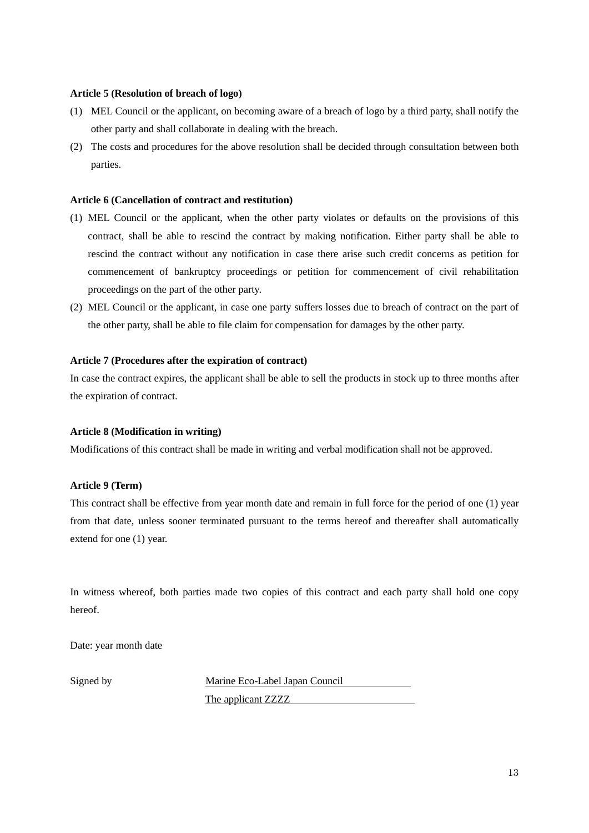#### **Article 5 (Resolution of breach of logo)**

- (1) MEL Council or the applicant, on becoming aware of a breach of logo by a third party, shall notify the other party and shall collaborate in dealing with the breach.
- (2) The costs and procedures for the above resolution shall be decided through consultation between both parties.

#### **Article 6 (Cancellation of contract and restitution)**

- (1) MEL Council or the applicant, when the other party violates or defaults on the provisions of this contract, shall be able to rescind the contract by making notification. Either party shall be able to rescind the contract without any notification in case there arise such credit concerns as petition for commencement of bankruptcy proceedings or petition for commencement of civil rehabilitation proceedings on the part of the other party.
- (2) MEL Council or the applicant, in case one party suffers losses due to breach of contract on the part of the other party, shall be able to file claim for compensation for damages by the other party.

#### **Article 7 (Procedures after the expiration of contract)**

In case the contract expires, the applicant shall be able to sell the products in stock up to three months after the expiration of contract.

#### **Article 8 (Modification in writing)**

Modifications of this contract shall be made in writing and verbal modification shall not be approved.

#### **Article 9 (Term)**

This contract shall be effective from year month date and remain in full force for the period of one (1) year from that date, unless sooner terminated pursuant to the terms hereof and thereafter shall automatically extend for one (1) year.

In witness whereof, both parties made two copies of this contract and each party shall hold one copy hereof.

Date: year month date

Signed by Marine Eco-Label Japan Council

The applicant ZZZZ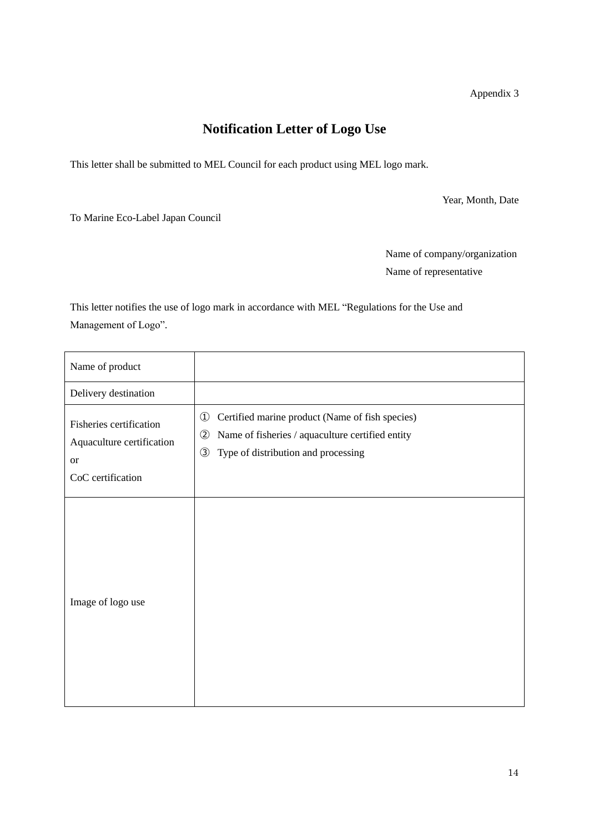Appendix 3

# **Notification Letter of Logo Use**

This letter shall be submitted to MEL Council for each product using MEL logo mark.

Year, Month, Date

To Marine Eco-Label Japan Council

Name of company/organization Name of representative

This letter notifies the use of logo mark in accordance with MEL "Regulations for the Use and Management of Logo".

| Name of product                                                                        |                                                                                                                                                                                               |
|----------------------------------------------------------------------------------------|-----------------------------------------------------------------------------------------------------------------------------------------------------------------------------------------------|
| Delivery destination                                                                   |                                                                                                                                                                                               |
| Fisheries certification<br>Aquaculture certification<br><b>or</b><br>CoC certification | $\circled{1}$<br>Certified marine product (Name of fish species)<br>$\circled{2}$<br>Name of fisheries / aquaculture certified entity<br>$\circled{3}$<br>Type of distribution and processing |
| Image of logo use                                                                      |                                                                                                                                                                                               |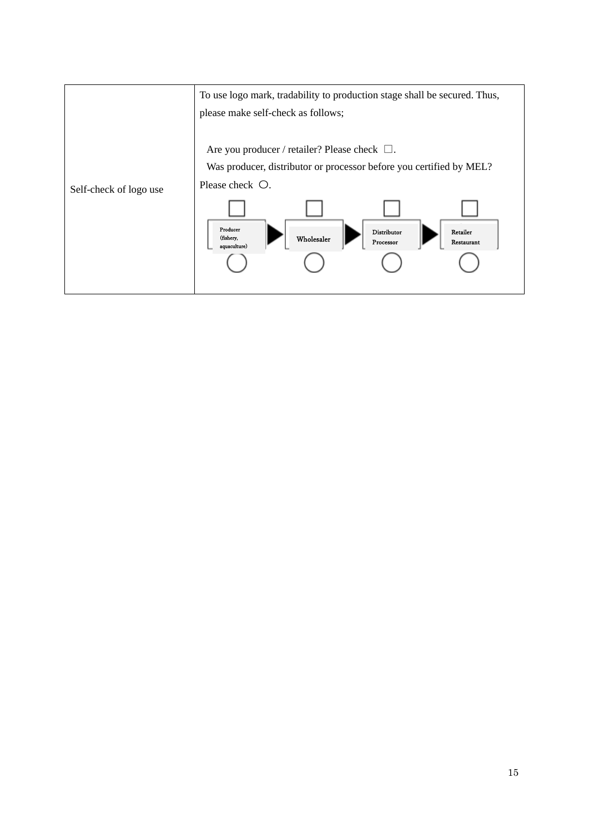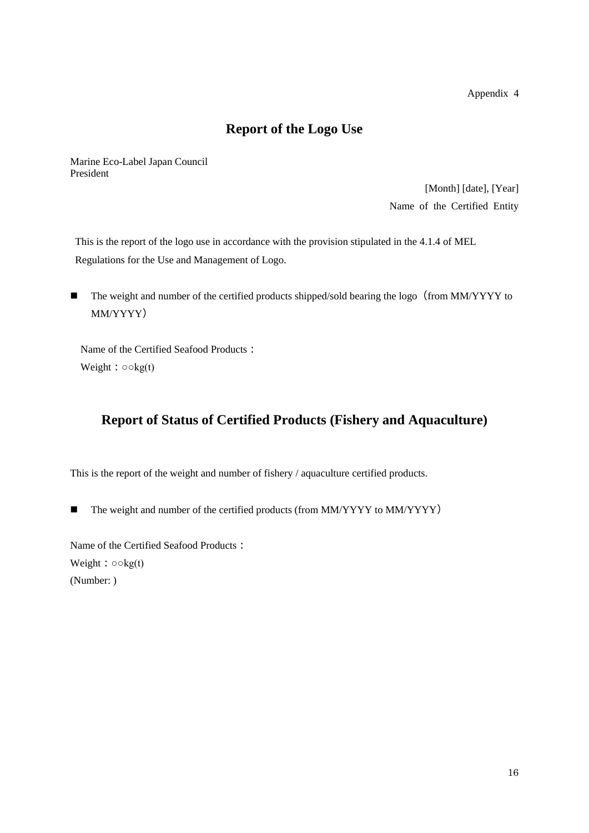Appendix 4

# **Report of the Logo Use**

Marine Eco-Label Japan Council President

> [Month] [date], [Year] Name of the Certified Entity

This is the report of the logo use in accordance with the provision stipulated in the 4.1.4 of MEL Regulations for the Use and Management of Logo.

■ The weight and number of the certified products shipped/sold bearing the logo (from MM/YYYY to MM/YYYY)

Name of the Certified Seafood Products: Weight:  $\circ \circ \text{kg}(t)$ 

# **Report of Status of Certified Products (Fishery and Aquaculture)**

This is the report of the weight and number of fishery / aquaculture certified products.

■ The weight and number of the certified products (from MM/YYYY to MM/YYYY)

Name of the Certified Seafood Products: Weight:  $\circ$  okg(t) (Number: )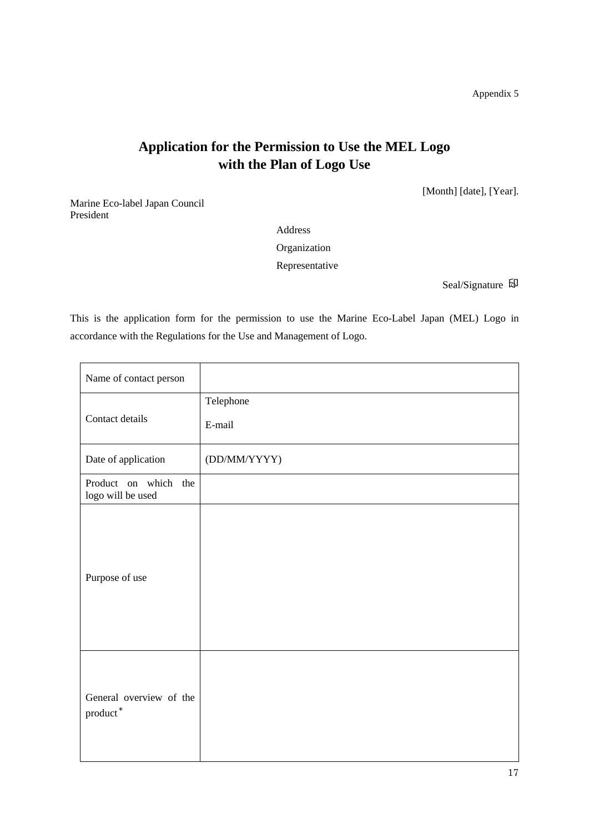Appendix 5

# **Application for the Permission to Use the MEL Logo with the Plan of Logo Use**

[Month] [date], [Year].

Marine Eco-label Japan Council President

Address

Organization

Representative

Seal/Signature 印

This is the application form for the permission to use the Marine Eco-Label Japan (MEL) Logo in accordance with the Regulations for the Use and Management of Logo.

| Name of contact person                                |                     |
|-------------------------------------------------------|---------------------|
| Contact details                                       | Telephone<br>E-mail |
|                                                       |                     |
| Date of application                                   | (DD/MM/YYYY)        |
| Product on which the<br>logo will be used             |                     |
| Purpose of use                                        |                     |
| General overview of the<br>$\operatorname{product}^*$ |                     |